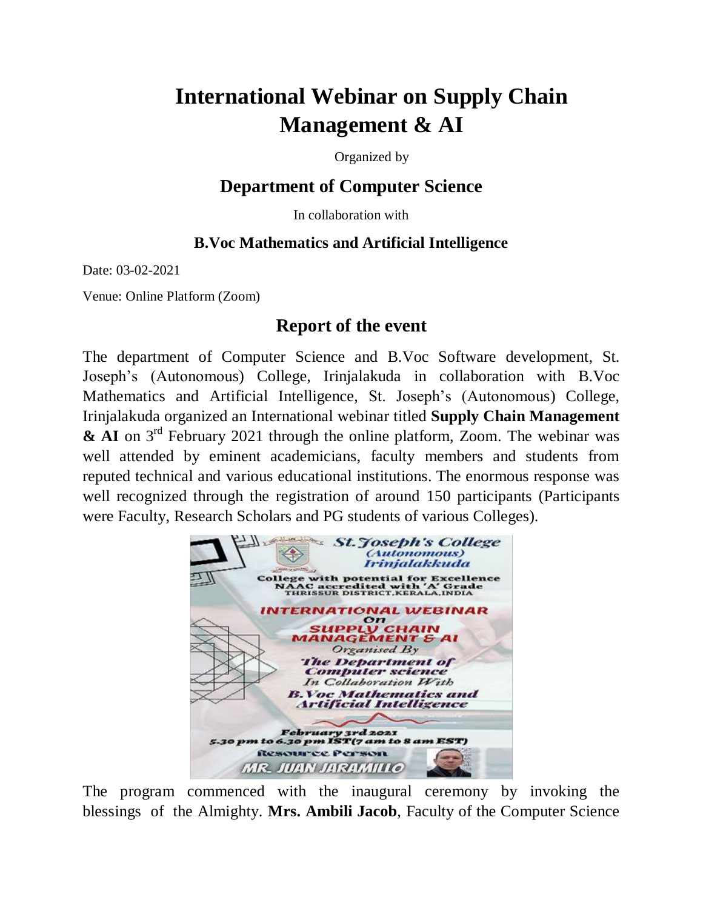## **International Webinar on Supply Chain Management & AI**

Organized by

## **Department of Computer Science**

In collaboration with

## **B.Voc Mathematics and Artificial Intelligence**

Date: 03-02-2021

Venue: Online Platform (Zoom)

## **Report of the event**

The department of Computer Science and B.Voc Software development, St. Joseph's (Autonomous) College, Irinjalakuda in collaboration with B.Voc Mathematics and Artificial Intelligence, St. Joseph's (Autonomous) College, Irinjalakuda organized an International webinar titled **Supply Chain Management & AI** on 3<sup>rd</sup> February 2021 through the online platform, Zoom. The webinar was well attended by eminent academicians, faculty members and students from reputed technical and various educational institutions. The enormous response was well recognized through the registration of around 150 participants (Participants were Faculty, Research Scholars and PG students of various Colleges).



The program commenced with the inaugural ceremony by invoking the blessings of the Almighty. **Mrs. Ambili Jacob**, Faculty of the Computer Science